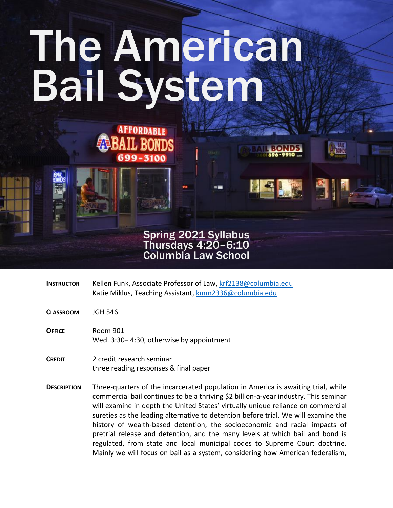# The American Bail System

**AFFORDABLE** 

99-3100

**L BONDS** 



- **INSTRUCTOR** Kellen Funk, Associate Professor of Law[, krf2138@columbia.edu](mailto:krf2138@columbia.edu) Katie Miklus, Teaching Assistant, [kmm2336@columbia.edu](mailto:kmm2336@columbia.edu)
- **CLASSROOM** JGH 546
- **OFFICE** Room 901 Wed. 3:30– 4:30, otherwise by appointment
- **CREDIT** 2 credit research seminar three reading responses & final paper
- **DESCRIPTION** Three-quarters of the incarcerated population in America is awaiting trial, while commercial bail continues to be a thriving \$2 billion-a-year industry. This seminar will examine in depth the United States' virtually unique reliance on commercial sureties as the leading alternative to detention before trial. We will examine the history of wealth-based detention, the socioeconomic and racial impacts of pretrial release and detention, and the many levels at which bail and bond is regulated, from state and local municipal codes to Supreme Court doctrine. Mainly we will focus on bail as a system, considering how American federalism,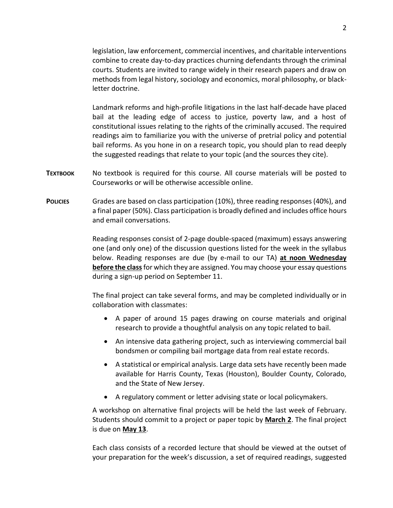legislation, law enforcement, commercial incentives, and charitable interventions combine to create day-to-day practices churning defendants through the criminal courts. Students are invited to range widely in their research papers and draw on methods from legal history, sociology and economics, moral philosophy, or blackletter doctrine.

Landmark reforms and high-profile litigations in the last half-decade have placed bail at the leading edge of access to justice, poverty law, and a host of constitutional issues relating to the rights of the criminally accused. The required readings aim to familiarize you with the universe of pretrial policy and potential bail reforms. As you hone in on a research topic, you should plan to read deeply the suggested readings that relate to your topic (and the sources they cite).

- **TEXTBOOK** No textbook is required for this course. All course materials will be posted to Courseworks or will be otherwise accessible online.
- **POLICIES** Grades are based on class participation (10%), three reading responses (40%), and a final paper (50%). Class participation is broadly defined and includes office hours and email conversations.

Reading responses consist of 2-page double-spaced (maximum) essays answering one (and only one) of the discussion questions listed for the week in the syllabus below. Reading responses are due (by e-mail to our TA) **at noon Wednesday before the class**for which they are assigned. You may choose your essay questions during a sign-up period on September 11.

The final project can take several forms, and may be completed individually or in collaboration with classmates:

- A paper of around 15 pages drawing on course materials and original research to provide a thoughtful analysis on any topic related to bail.
- An intensive data gathering project, such as interviewing commercial bail bondsmen or compiling bail mortgage data from real estate records.
- A statistical or empirical analysis. Large data sets have recently been made available for Harris County, Texas (Houston), Boulder County, Colorado, and the State of New Jersey.
- A regulatory comment or letter advising state or local policymakers.

A workshop on alternative final projects will be held the last week of February. Students should commit to a project or paper topic by **March 2**. The final project is due on **May 13**.

Each class consists of a recorded lecture that should be viewed at the outset of your preparation for the week's discussion, a set of required readings, suggested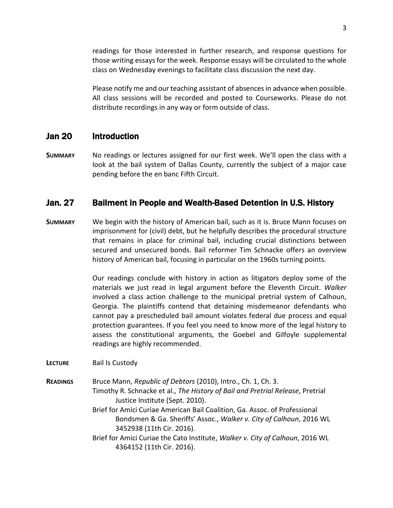readings for those interested in further research, and response questions for those writing essays for the week. Response essays will be circulated to the whole class on Wednesday evenings to facilitate class discussion the next day.

Please notify me and our teaching assistant of absences in advance when possible. All class sessions will be recorded and posted to Courseworks. Please do not distribute recordings in any way or form outside of class.

#### Jan 20 Introduction

**SUMMARY** No readings or lectures assigned for our first week. We'll open the class with a look at the bail system of Dallas County, currently the subject of a major case pending before the en banc Fifth Circuit.

## Jan. 27 Bailment in People and Wealth-Based Detention in U.S. History

**SUMMARY** We begin with the history of American bail, such as it is. Bruce Mann focuses on imprisonment for (civil) debt, but he helpfully describes the procedural structure that remains in place for criminal bail, including crucial distinctions between secured and unsecured bonds. Bail reformer Tim Schnacke offers an overview history of American bail, focusing in particular on the 1960s turning points.

> Our readings conclude with history in action as litigators deploy some of the materials we just read in legal argument before the Eleventh Circuit. *Walker* involved a class action challenge to the municipal pretrial system of Calhoun, Georgia. The plaintiffs contend that detaining misdemeanor defendants who cannot pay a prescheduled bail amount violates federal due process and equal protection guarantees. If you feel you need to know more of the legal history to assess the constitutional arguments, the Goebel and Gilfoyle supplemental readings are highly recommended.

**LECTURE** Bail Is Custody

**READINGS** Bruce Mann, *Republic of Debtors* (2010), Intro., Ch. 1, Ch. 3. Timothy R. Schnacke et al., *The History of Bail and Pretrial Release*, Pretrial Justice Institute (Sept. 2010). Brief for Amici Curiae American Bail Coalition, Ga. Assoc. of Professional

Bondsmen & Ga. Sheriffs' Assoc., *Walker v. City of Calhoun*, 2016 WL 3452938 (11th Cir. 2016).

Brief for Amici Curiae the Cato Institute, *Walker v. City of Calhoun*, 2016 WL 4364152 (11th Cir. 2016).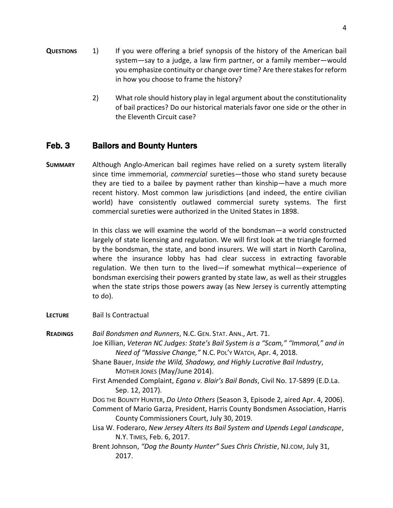- **QUESTIONS** 1) If you were offering a brief synopsis of the history of the American bail system—say to a judge, a law firm partner, or a family member—would you emphasize continuity or change over time? Are there stakes for reform in how you choose to frame the history?
	- 2) What role should history play in legal argument about the constitutionality of bail practices? Do our historical materials favor one side or the other in the Eleventh Circuit case?

# Feb. 3 Bailors and Bounty Hunters

**SUMMARY** Although Anglo-American bail regimes have relied on a surety system literally since time immemorial, *commercial* sureties—those who stand surety because they are tied to a bailee by payment rather than kinship—have a much more recent history. Most common law jurisdictions (and indeed, the entire civilian world) have consistently outlawed commercial surety systems. The first commercial sureties were authorized in the United States in 1898.

> In this class we will examine the world of the bondsman—a world constructed largely of state licensing and regulation. We will first look at the triangle formed by the bondsman, the state, and bond insurers. We will start in North Carolina, where the insurance lobby has had clear success in extracting favorable regulation. We then turn to the lived—if somewhat mythical—experience of bondsman exercising their powers granted by state law, as well as their struggles when the state strips those powers away (as New Jersey is currently attempting to do).

- **LECTURE** Bail Is Contractual
- **READINGS** *Bail Bondsmen and Runners*, N.C. GEN. STAT. ANN., Art. 71. Joe Killian, *Veteran NC Judges: State's Bail System is a "Scam," "Immoral," and in Need of "Massive Change,"* N.C. POL'Y WATCH, Apr. 4, 2018.
	- Shane Bauer, *Inside the Wild, Shadowy, and Highly Lucrative Bail Industry*, MOTHER JONES (May/June 2014).
	- First Amended Complaint, *Egana v. Blair's Bail Bonds*, Civil No. 17-5899 (E.D.La. Sep. 12, 2017).

DOG THE BOUNTY HUNTER, *Do Unto Others* (Season 3, Episode 2, aired Apr. 4, 2006).

- Comment of Mario Garza, President, Harris County Bondsmen Association, Harris County Commissioners Court, July 30, 2019.
- Lisa W. Foderaro, *New Jersey Alters Its Bail System and Upends Legal Landscape*, N.Y. TIMES, Feb. 6, 2017.
- Brent Johnson, *"Dog the Bounty Hunter" Sues Chris Christie*, NJ.COM, July 31, 2017.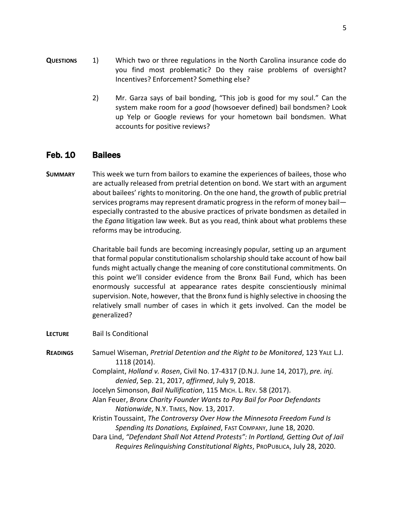2) Mr. Garza says of bail bonding, "This job is good for my soul." Can the system make room for a *good* (howsoever defined) bail bondsmen? Look up Yelp or Google reviews for your hometown bail bondsmen. What accounts for positive reviews?

## Feb. 10 Bailees

**SUMMARY** This week we turn from bailors to examine the experiences of bailees, those who are actually released from pretrial detention on bond. We start with an argument about bailees' rights to monitoring. On the one hand, the growth of public pretrial services programs may represent dramatic progress in the reform of money bail especially contrasted to the abusive practices of private bondsmen as detailed in the *Egana* litigation law week. But as you read, think about what problems these reforms may be introducing.

> Charitable bail funds are becoming increasingly popular, setting up an argument that formal popular constitutionalism scholarship should take account of how bail funds might actually change the meaning of core constitutional commitments. On this point we'll consider evidence from the Bronx Bail Fund, which has been enormously successful at appearance rates despite conscientiously minimal supervision. Note, however, that the Bronx fund is highly selective in choosing the relatively small number of cases in which it gets involved. Can the model be generalized?

- **LECTURE** Bail Is Conditional
- **READINGS** Samuel Wiseman, *Pretrial Detention and the Right to be Monitored*, 123 YALE L.J. 1118 (2014).

Complaint, *Holland v. Rosen*, Civil No. 17-4317 (D.N.J. June 14, 2017), *pre. inj. denied*, Sep. 21, 2017, *affirmed*, July 9, 2018.

- Jocelyn Simonson, *Bail Nullification*, 115 MICH. L. REV. 58 (2017).
- Alan Feuer, *Bronx Charity Founder Wants to Pay Bail for Poor Defendants Nationwide*, N.Y. TIMES, Nov. 13, 2017.

Kristin Toussaint, *The Controversy Over How the Minnesota Freedom Fund Is Spending Its Donations, Explained*, FAST COMPANY, June 18, 2020.

Dara Lind, "Defendant Shall Not Attend Protests": In Portland, Getting Out of Jail *Requires Relinquishing Constitutional Rights*, PROPUBLICA, July 28, 2020.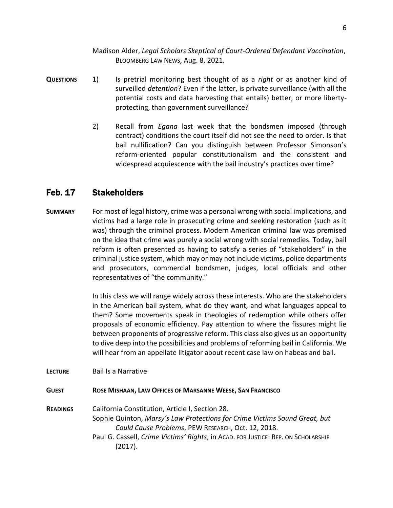Madison Alder, *Legal Scholars Skeptical of Court-Ordered Defendant Vaccination*, BLOOMBERG LAW NEWS, Aug. 8, 2021.

- **QUESTIONS** 1) Is pretrial monitoring best thought of as a *right* or as another kind of surveilled *detention*? Even if the latter, is private surveillance (with all the potential costs and data harvesting that entails) better, or more libertyprotecting, than government surveillance?
	- 2) Recall from *Egana* last week that the bondsmen imposed (through contract) conditions the court itself did not see the need to order. Is that bail nullification? Can you distinguish between Professor Simonson's reform-oriented popular constitutionalism and the consistent and widespread acquiescence with the bail industry's practices over time?

# Feb. 17 Stakeholders

**SUMMARY** For most of legal history, crime was a personal wrong with social implications, and victims had a large role in prosecuting crime and seeking restoration (such as it was) through the criminal process. Modern American criminal law was premised on the idea that crime was purely a social wrong with social remedies. Today, bail reform is often presented as having to satisfy a series of "stakeholders" in the criminal justice system, which may or may not include victims, police departments and prosecutors, commercial bondsmen, judges, local officials and other representatives of "the community."

> In this class we will range widely across these interests. Who are the stakeholders in the American bail system, what do they want, and what languages appeal to them? Some movements speak in theologies of redemption while others offer proposals of economic efficiency. Pay attention to where the fissures might lie between proponents of progressive reform. This class also gives us an opportunity to dive deep into the possibilities and problems of reforming bail in California. We will hear from an appellate litigator about recent case law on habeas and bail.

**LECTURE** Bail Is a Narrative

**GUEST ROSE MISHAAN, LAW OFFICES OF MARSANNE WEESE, SAN FRANCISCO**

**READINGS** California Constitution, Article I, Section 28. Sophie Quinton, *Marsy's Law Protections for Crime Victims Sound Great, but Could Cause Problems*, PEW RESEARCH, Oct. 12, 2018. Paul G. Cassell, *Crime Victims' Rights*, in ACAD. FOR JUSTICE: REP. ON SCHOLARSHIP (2017).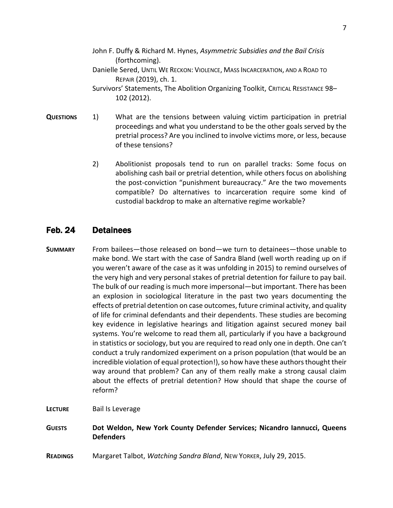- John F. Duffy & Richard M. Hynes, *Asymmetric Subsidies and the Bail Crisis* (forthcoming).
- Danielle Sered, UNTIL WE RECKON: VIOLENCE, MASS INCARCERATION, AND A ROAD TO REPAIR (2019), ch. 1.
- Survivors' Statements, The Abolition Organizing Toolkit, CRITICAL RESISTANCE 98– 102 (2012).
- **QUESTIONS** 1) What are the tensions between valuing victim participation in pretrial proceedings and what you understand to be the other goals served by the pretrial process? Are you inclined to involve victims more, or less, because of these tensions?
	- 2) Abolitionist proposals tend to run on parallel tracks: Some focus on abolishing cash bail or pretrial detention, while others focus on abolishing the post-conviction "punishment bureaucracy." Are the two movements compatible? Do alternatives to incarceration require some kind of custodial backdrop to make an alternative regime workable?

# Feb. 24 Detainees

- **SUMMARY** From bailees—those released on bond—we turn to detainees—those unable to make bond. We start with the case of Sandra Bland (well worth reading up on if you weren't aware of the case as it was unfolding in 2015) to remind ourselves of the very high and very personal stakes of pretrial detention for failure to pay bail. The bulk of our reading is much more impersonal—but important. There has been an explosion in sociological literature in the past two years documenting the effects of pretrial detention on case outcomes, future criminal activity, and quality of life for criminal defendants and their dependents. These studies are becoming key evidence in legislative hearings and litigation against secured money bail systems. You're welcome to read them all, particularly if you have a background in statistics or sociology, but you are required to read only one in depth. One can't conduct a truly randomized experiment on a prison population (that would be an incredible violation of equal protection!), so how have these authors thought their way around that problem? Can any of them really make a strong causal claim about the effects of pretrial detention? How should that shape the course of reform?
- **LECTURE** Bail Is Leverage
- **GUESTS Dot Weldon, New York County Defender Services; Nicandro Iannucci, Queens Defenders**
- **READINGS** Margaret Talbot, *Watching Sandra Bland*, NEW YORKER, July 29, 2015.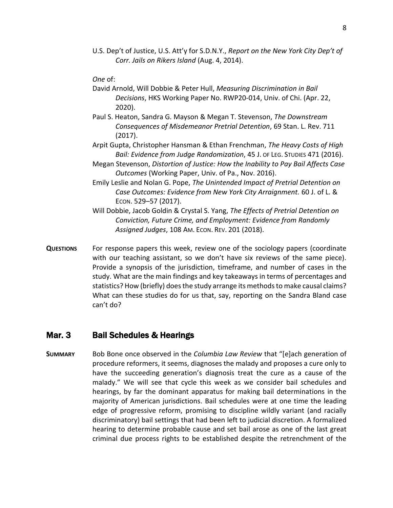U.S. Dep't of Justice, U.S. Att'y for S.D.N.Y., *Report on the New York City Dep't of Corr. Jails on Rikers Island* (Aug. 4, 2014).

*One* of:

- David Arnold, Will Dobbie & Peter Hull, *Measuring Discrimination in Bail Decisions*, HKS Working Paper No. RWP20-014, Univ. of Chi. (Apr. 22, 2020).
- Paul S. Heaton, Sandra G. Mayson & Megan T. Stevenson, *The Downstream Consequences of Misdemeanor Pretrial Detention*, 69 Stan. L. Rev. 711 (2017).
- Arpit Gupta, Christopher Hansman & Ethan Frenchman, *The Heavy Costs of High Bail: Evidence from Judge Randomization*, 45 J. OF LEG. STUDIES 471 (2016).
- Megan Stevenson, *Distortion of Justice: How the Inability to Pay Bail Affects Case Outcomes* (Working Paper, Univ. of Pa., Nov. 2016).
- Emily Leslie and Nolan G. Pope, *The Unintended Impact of Pretrial Detention on Case Outcomes: Evidence from New York City Arraignment.* 60 J. of L. & ECON. 529–57 (2017).
- Will Dobbie, Jacob Goldin & Crystal S. Yang, *The Effects of Pretrial Detention on Conviction, Future Crime, and Employment: Evidence from Randomly Assigned Judges*, 108 AM. ECON. REV. 201 (2018).
- **QUESTIONS** For response papers this week, review one of the sociology papers (coordinate with our teaching assistant, so we don't have six reviews of the same piece). Provide a synopsis of the jurisdiction, timeframe, and number of cases in the study. What are the main findings and key takeaways in terms of percentages and statistics? How (briefly) does the study arrange its methods to make causal claims? What can these studies do for us that, say, reporting on the Sandra Bland case can't do?

#### Mar. 3 Bail Schedules & Hearings

**SUMMARY** Bob Bone once observed in the *Columbia Law Review* that "[e]ach generation of procedure reformers, it seems, diagnoses the malady and proposes a cure only to have the succeeding generation's diagnosis treat the cure as a cause of the malady." We will see that cycle this week as we consider bail schedules and hearings, by far the dominant apparatus for making bail determinations in the majority of American jurisdictions. Bail schedules were at one time the leading edge of progressive reform, promising to discipline wildly variant (and racially discriminatory) bail settings that had been left to judicial discretion. A formalized hearing to determine probable cause and set bail arose as one of the last great criminal due process rights to be established despite the retrenchment of the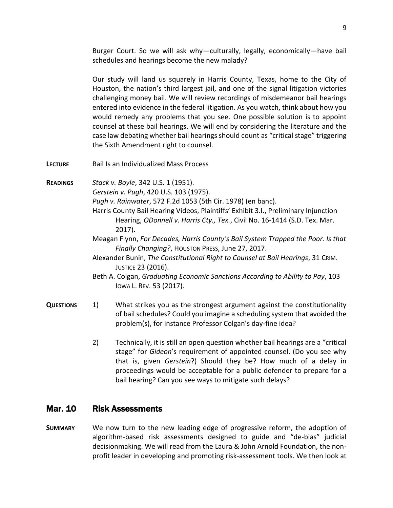Burger Court. So we will ask why—culturally, legally, economically—have bail schedules and hearings become the new malady?

Our study will land us squarely in Harris County, Texas, home to the City of Houston, the nation's third largest jail, and one of the signal litigation victories challenging money bail. We will review recordings of misdemeanor bail hearings entered into evidence in the federal litigation. As you watch, think about how you would remedy any problems that you see. One possible solution is to appoint counsel at these bail hearings. We will end by considering the literature and the case law debating whether bail hearings should count as "critical stage" triggering the Sixth Amendment right to counsel.

**LECTURE** Bail Is an Individualized Mass Process

**READINGS** *Stack v. Boyle*, 342 U.S. 1 (1951).

*Gerstein v. Pugh*, 420 U.S. 103 (1975).

*Pugh v. Rainwater*, 572 F.2d 1053 (5th Cir. 1978) (en banc).

- Harris County Bail Hearing Videos, Plaintiffs' Exhibit 3.I., Preliminary Injunction Hearing, *ODonnell v. Harris Cty., Tex.*, Civil No. 16-1414 (S.D. Tex. Mar. 2017).
- Meagan Flynn, *For Decades, Harris County's Bail System Trapped the Poor. Is that Finally Changing?*, HOUSTON PRESS, June 27, 2017.
- Alexander Bunin, *The Constitutional Right to Counsel at Bail Hearings*, 31 CRIM. JUSTICE 23 (2016).
- Beth A. Colgan, *Graduating Economic Sanctions According to Ability to Pay*, 103 IOWA L. REV. 53 (2017).
- **QUESTIONS** 1) What strikes you as the strongest argument against the constitutionality of bail schedules? Could you imagine a scheduling system that avoided the problem(s), for instance Professor Colgan's day-fine idea?
	- 2) Technically, it is still an open question whether bail hearings are a "critical stage" for *Gideon*'s requirement of appointed counsel. (Do you see why that is, given *Gerstein*?) Should they be? How much of a delay in proceedings would be acceptable for a public defender to prepare for a bail hearing? Can you see ways to mitigate such delays?

#### Mar. 10 Risk Assessments

**SUMMARY** We now turn to the new leading edge of progressive reform, the adoption of algorithm-based risk assessments designed to guide and "de-bias" judicial decisionmaking. We will read from the Laura & John Arnold Foundation, the nonprofit leader in developing and promoting risk-assessment tools. We then look at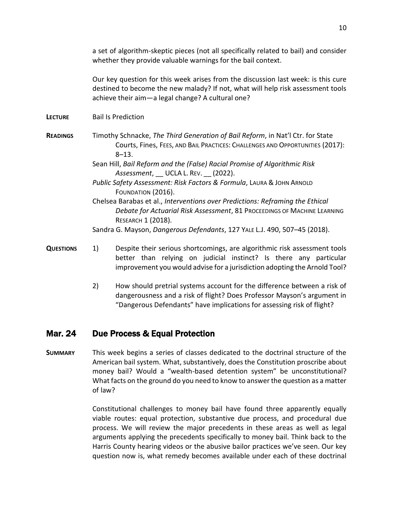Our key question for this week arises from the discussion last week: is this cure destined to become the new malady? If not, what will help risk assessment tools achieve their aim—a legal change? A cultural one?

- **LECTURE** Bail Is Prediction
- **READINGS** Timothy Schnacke, *The Third Generation of Bail Reform*, in Nat'l Ctr. for State Courts, Fines, FEES, AND BAIL PRACTICES: CHALLENGES AND OPPORTUNITIES (2017): 8–13.
	- Sean Hill, *Bail Reform and the (False) Racial Promise of Algorithmic Risk*  Assessment, UCLA L. REV. (2022).
	- *Public Safety Assessment: Risk Factors & Formula*, LAURA & JOHN ARNOLD FOUNDATION (2016).
	- Chelsea Barabas et al., *Interventions over Predictions: Reframing the Ethical Debate for Actuarial Risk Assessment*, 81 PROCEEDINGS OF MACHINE LEARNING RESEARCH 1 (2018).
	- Sandra G. Mayson, *Dangerous Defendants*, 127 YALE L.J. 490, 507–45 (2018).
- **QUESTIONS** 1) Despite their serious shortcomings, are algorithmic risk assessment tools better than relying on judicial instinct? Is there any particular improvement you would advise for a jurisdiction adopting the Arnold Tool?
	- 2) How should pretrial systems account for the difference between a risk of dangerousness and a risk of flight? Does Professor Mayson's argument in "Dangerous Defendants" have implications for assessing risk of flight?

# Mar. 24 Due Process & Equal Protection

**SUMMARY** This week begins a series of classes dedicated to the doctrinal structure of the American bail system. What, substantively, does the Constitution proscribe about money bail? Would a "wealth-based detention system" be unconstitutional? What facts on the ground do you need to know to answer the question as a matter of law?

> Constitutional challenges to money bail have found three apparently equally viable routes: equal protection, substantive due process, and procedural due process. We will review the major precedents in these areas as well as legal arguments applying the precedents specifically to money bail. Think back to the Harris County hearing videos or the abusive bailor practices we've seen. Our key question now is, what remedy becomes available under each of these doctrinal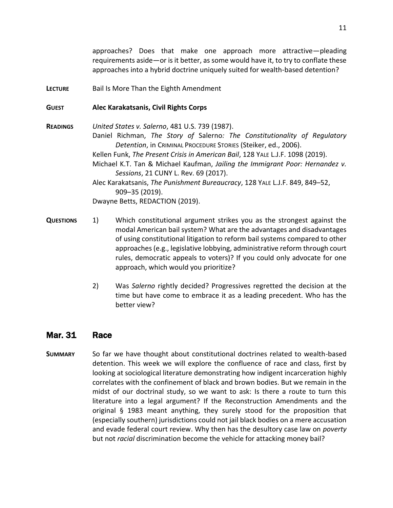approaches? Does that make one approach more attractive—pleading requirements aside—or is it better, as some would have it, to try to conflate these approaches into a hybrid doctrine uniquely suited for wealth-based detention?

**LECTURE** Bail Is More Than the Eighth Amendment

#### **GUEST Alec Karakatsanis, Civil Rights Corps**

**READINGS** *United States v. Salerno*, 481 U.S. 739 (1987). Daniel Richman, *The Story of* Salerno*: The Constitutionality of Regulatory Detention*, in CRIMINAL PROCEDURE STORIES (Steiker, ed., 2006). Kellen Funk, *The Present Crisis in American Bail*, 128 YALE L.J.F. 1098 (2019). Michael K.T. Tan & Michael Kaufman, *Jailing the Immigrant Poor: Hernandez v. Sessions*, 21 CUNY L. Rev. 69 (2017). Alec Karakatsanis, *The Punishment Bureaucracy*, 128 YALE L.J.F. 849, 849–52, 909–35 (2019). Dwayne Betts, REDACTION (2019).

- **QUESTIONS** 1) Which constitutional argument strikes you as the strongest against the modal American bail system? What are the advantages and disadvantages of using constitutional litigation to reform bail systems compared to other approaches (e.g., legislative lobbying, administrative reform through court rules, democratic appeals to voters)? If you could only advocate for one approach, which would you prioritize?
	- 2) Was *Salerno* rightly decided? Progressives regretted the decision at the time but have come to embrace it as a leading precedent. Who has the better view?

#### Mar. 31 Race

**SUMMARY** So far we have thought about constitutional doctrines related to wealth-based detention. This week we will explore the confluence of race and class, first by looking at sociological literature demonstrating how indigent incarceration highly correlates with the confinement of black and brown bodies. But we remain in the midst of our doctrinal study, so we want to ask: Is there a route to turn this literature into a legal argument? If the Reconstruction Amendments and the original § 1983 meant anything, they surely stood for the proposition that (especially southern) jurisdictions could not jail black bodies on a mere accusation and evade federal court review. Why then has the desultory case law on *poverty* but not *racial* discrimination become the vehicle for attacking money bail?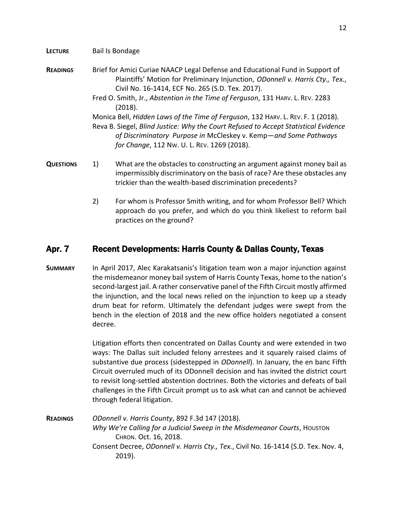#### **LECTURE** Bail Is Bondage

- **READINGS** Brief for Amici Curiae NAACP Legal Defense and Educational Fund in Support of Plaintiffs' Motion for Preliminary Injunction, *ODonnell v. Harris Cty., Tex.*, Civil No. 16-1414, ECF No. 265 (S.D. Tex. 2017).
	- Fred O. Smith, Jr., *Abstention in the Time of Ferguson*, 131 HARV. L. REV. 2283 (2018).

Monica Bell, *Hidden Laws of the Time of Ferguson*, 132 HARV. L. REV. F. 1 (2018).

Reva B. Siegel, *Blind Justice: Why the Court Refused to Accept Statistical Evidence of Discriminatory Purpose in* McCleskey v. Kemp—*and Some Pathways for Change*, 112 NW. U. L. REV. 1269 (2018).

- **QUESTIONS** 1) What are the obstacles to constructing an argument against money bail as impermissibly discriminatory on the basis of race? Are these obstacles any trickier than the wealth-based discrimination precedents?
	- 2) For whom is Professor Smith writing, and for whom Professor Bell? Which approach do you prefer, and which do you think likeliest to reform bail practices on the ground?

# Apr. 7 Recent Developments: Harris County & Dallas County, Texas

**SUMMARY** In April 2017, Alec Karakatsanis's litigation team won a major injunction against the misdemeanor money bail system of Harris County Texas, home to the nation's second-largest jail. A rather conservative panel of the Fifth Circuit mostly affirmed the injunction, and the local news relied on the injunction to keep up a steady drum beat for reform. Ultimately the defendant judges were swept from the bench in the election of 2018 and the new office holders negotiated a consent decree.

> Litigation efforts then concentrated on Dallas County and were extended in two ways: The Dallas suit included felony arrestees and it squarely raised claims of substantive due process (sidestepped in *ODonnell*). In January, the en banc Fifth Circuit overruled much of its ODonnell decision and has invited the district court to revisit long-settled abstention doctrines. Both the victories and defeats of bail challenges in the Fifth Circuit prompt us to ask what can and cannot be achieved through federal litigation.

**READINGS** *ODonnell v. Harris County*, 892 F.3d 147 (2018). *Why We're Calling for a Judicial Sweep in the Misdemeanor Courts*, HOUSTON CHRON. Oct. 16, 2018. Consent Decree, *ODonnell v. Harris Cty., Tex.*, Civil No. 16-1414 (S.D. Tex. Nov. 4, 2019).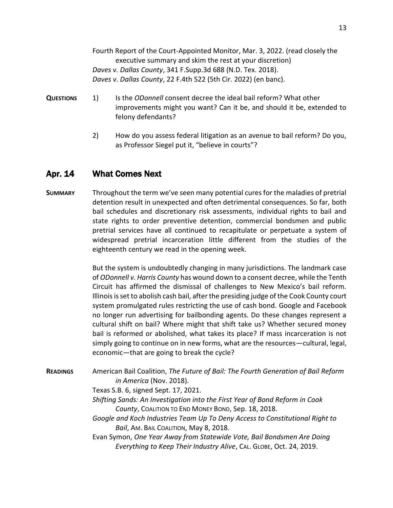Fourth Report of the Court-Appointed Monitor, Mar. 3, 2022. (read closely the executive summary and skim the rest at your discretion) *Daves v. Dallas County*, 341 F.Supp.3d 688 (N.D. Tex. 2018). *Daves v. Dallas County*, 22 F.4th 522 (5th Cir. 2022) (en banc).

- **QUESTIONS** 1) Is the *ODonnell* consent decree the ideal bail reform? What other improvements might you want? Can it be, and should it be, extended to felony defendants?
	- 2) How do you assess federal litigation as an avenue to bail reform? Do you, as Professor Siegel put it, "believe in courts"?

## Apr. 14 What Comes Next

**SUMMARY** Throughout the term we've seen many potential cures for the maladies of pretrial detention result in unexpected and often detrimental consequences. So far, both bail schedules and discretionary risk assessments, individual rights to bail and state rights to order preventive detention, commercial bondsmen and public pretrial services have all continued to recapitulate or perpetuate a system of widespread pretrial incarceration little different from the studies of the eighteenth century we read in the opening week.

> But the system is undoubtedly changing in many jurisdictions. The landmark case of *ODonnell v. Harris County* has wound down to a consent decree, while the Tenth Circuit has affirmed the dismissal of challenges to New Mexico's bail reform. Illinois is set to abolish cash bail, after the presiding judge of the Cook County court system promulgated rules restricting the use of cash bond. Google and Facebook no longer run advertising for bailbonding agents. Do these changes represent a cultural shift on bail? Where might that shift take us? Whether secured money bail is reformed or abolished, what takes its place? If mass incarceration is not simply going to continue on in new forms, what are the resources—cultural, legal, economic—that are going to break the cycle?

**READINGS** American Bail Coalition, *The Future of Bail: The Fourth Generation of Bail Reform in America* (Nov. 2018).

Texas S.B. 6, signed Sept. 17, 2021.

- *Shifting Sands: An Investigation into the First Year of Bond Reform in Cook County*, COALITION TO END MONEY BOND, Sep. 18, 2018.
- *Google and Koch Industries Team Up To Deny Access to Constitutional Right to Bail*, AM. BAIL COALITION, May 8, 2018.
- Evan Symon, *One Year Away from Statewide Vote, Bail Bondsmen Are Doing Everything to Keep Their Industry Alive*, CAL. GLOBE, Oct. 24, 2019.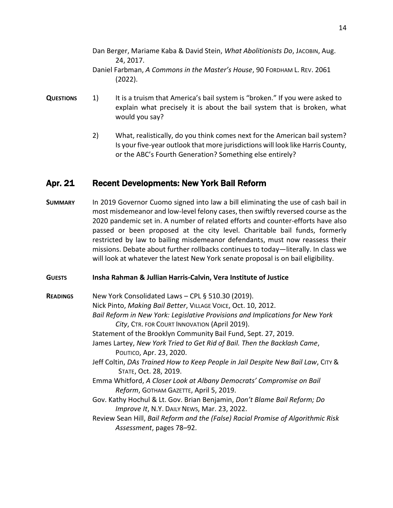- Dan Berger, Mariame Kaba & David Stein, *What Abolitionists Do*, JACOBIN, Aug. 24, 2017. Daniel Farbman, *A Commons in the Master's House*, 90 FORDHAM L. REV. 2061 (2022).
- **QUESTIONS** 1) It is a truism that America's bail system is "broken." If you were asked to explain what precisely it is about the bail system that is broken, what would you say?
	- 2) What, realistically, do you think comes next for the American bail system? Is your five-year outlook that more jurisdictions will look like Harris County, or the ABC's Fourth Generation? Something else entirely?

#### Apr. 21 Recent Developments: New York Bail Reform

**SUMMARY** In 2019 Governor Cuomo signed into law a bill eliminating the use of cash bail in most misdemeanor and low-level felony cases, then swiftly reversed course as the 2020 pandemic set in. A number of related efforts and counter-efforts have also passed or been proposed at the city level. Charitable bail funds, formerly restricted by law to bailing misdemeanor defendants, must now reassess their missions. Debate about further rollbacks continues to today—literally. In class we will look at whatever the latest New York senate proposal is on bail eligibility.

#### **GUESTS Insha Rahman & Jullian Harris-Calvin, Vera Institute of Justice**

**READINGS** New York Consolidated Laws – CPL § 510.30 (2019). Nick Pinto, *Making Bail Better*, VILLAGE VOICE, Oct. 10, 2012. *Bail Reform in New York: Legislative Provisions and Implications for New York City*, CTR. FOR COURT INNOVATION (April 2019). Statement of the Brooklyn Community Bail Fund, Sept. 27, 2019. James Lartey, *New York Tried to Get Rid of Bail. Then the Backlash Came*, POLITICO, Apr. 23, 2020. Jeff Coltin, *DAs Trained How to Keep People in Jail Despite New Bail Law*, CITY & STATE, Oct. 28, 2019. Emma Whitford, *A Closer Look at Albany Democrats' Compromise on Bail Reform*, GOTHAM GAZETTE, April 5, 2019. Gov. Kathy Hochul & Lt. Gov. Brian Benjamin, *Don't Blame Bail Reform; Do Improve It*, N.Y. DAILY NEWS, Mar. 23, 2022. Review Sean Hill, *Bail Reform and the (False) Racial Promise of Algorithmic Risk Assessment*, pages 78–92.